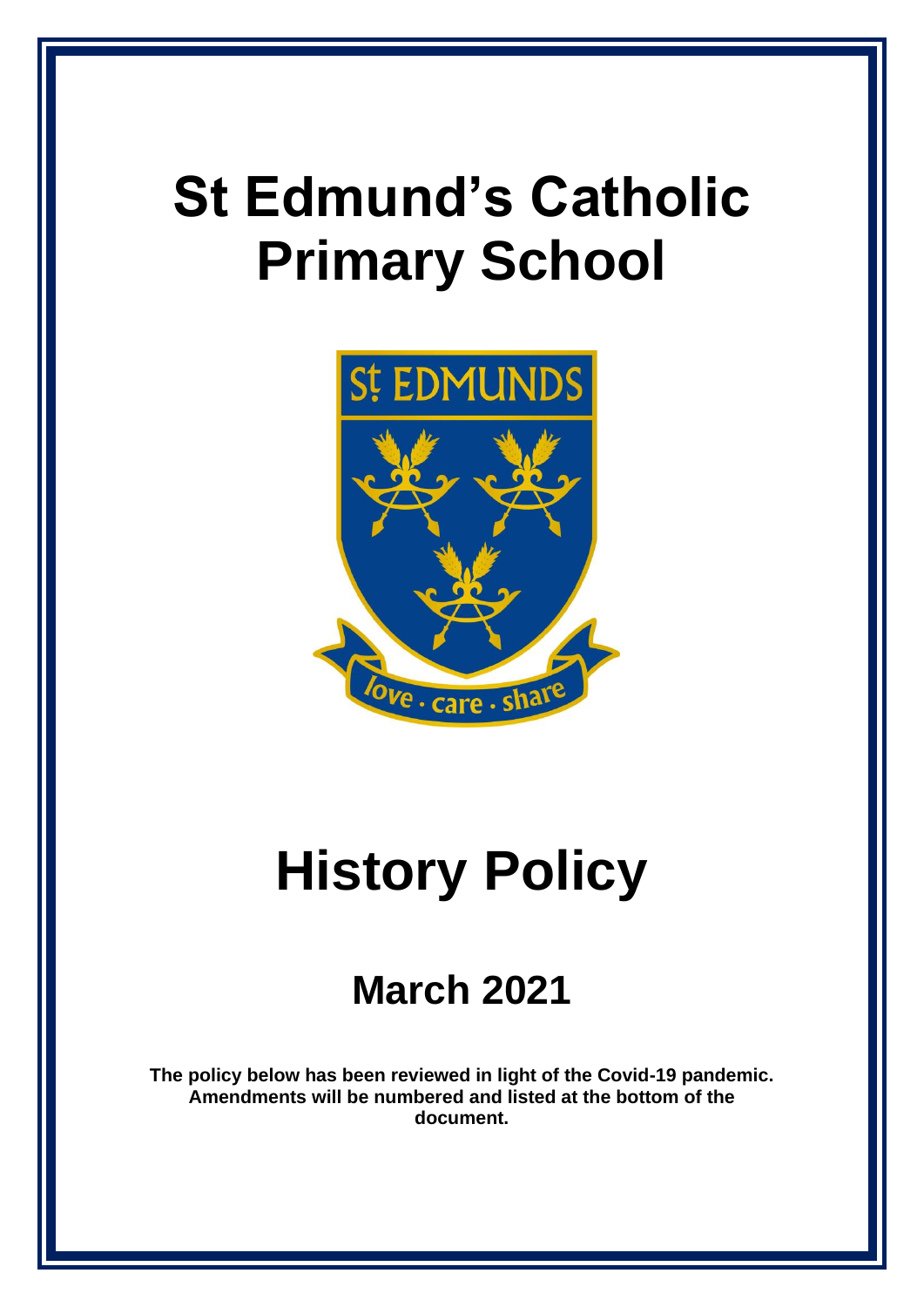## **St Edmund's Catholic Primary School**



# **History Policy**

### **March 2021**

**The policy below has been reviewed in light of the Covid-19 pandemic. Amendments will be numbered and listed at the bottom of the document.**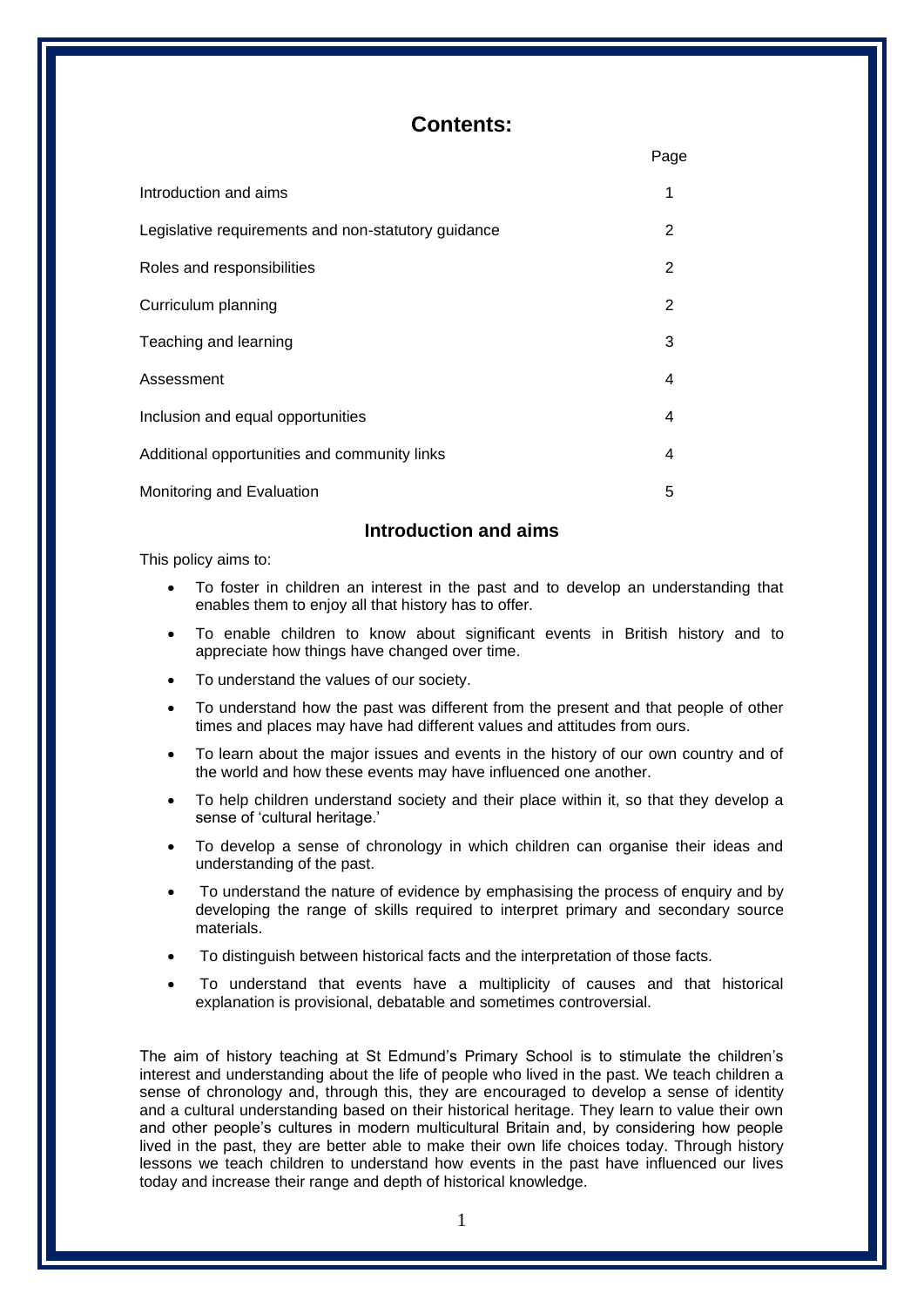#### **Contents:**

|                                                     | Page |
|-----------------------------------------------------|------|
| Introduction and aims                               | 1    |
| Legislative requirements and non-statutory guidance | 2    |
| Roles and responsibilities                          | 2    |
| Curriculum planning                                 | 2    |
| Teaching and learning                               | 3    |
| Assessment                                          | 4    |
| Inclusion and equal opportunities                   | 4    |
| Additional opportunities and community links        | 4    |
| Monitoring and Evaluation                           | 5    |

#### **Introduction and aims**

This policy aims to:

- To foster in children an interest in the past and to develop an understanding that enables them to enjoy all that history has to offer.
- To enable children to know about significant events in British history and to appreciate how things have changed over time.
- To understand the values of our society.
- To understand how the past was different from the present and that people of other times and places may have had different values and attitudes from ours.
- To learn about the major issues and events in the history of our own country and of the world and how these events may have influenced one another.
- To help children understand society and their place within it, so that they develop a sense of 'cultural heritage.'
- To develop a sense of chronology in which children can organise their ideas and understanding of the past.
- To understand the nature of evidence by emphasising the process of enquiry and by developing the range of skills required to interpret primary and secondary source materials.
- To distinguish between historical facts and the interpretation of those facts.
- To understand that events have a multiplicity of causes and that historical explanation is provisional, debatable and sometimes controversial.

The aim of history teaching at St Edmund's Primary School is to stimulate the children's interest and understanding about the life of people who lived in the past. We teach children a sense of chronology and, through this, they are encouraged to develop a sense of identity and a cultural understanding based on their historical heritage. They learn to value their own and other people's cultures in modern multicultural Britain and, by considering how people lived in the past, they are better able to make their own life choices today. Through history lessons we teach children to understand how events in the past have influenced our lives today and increase their range and depth of historical knowledge.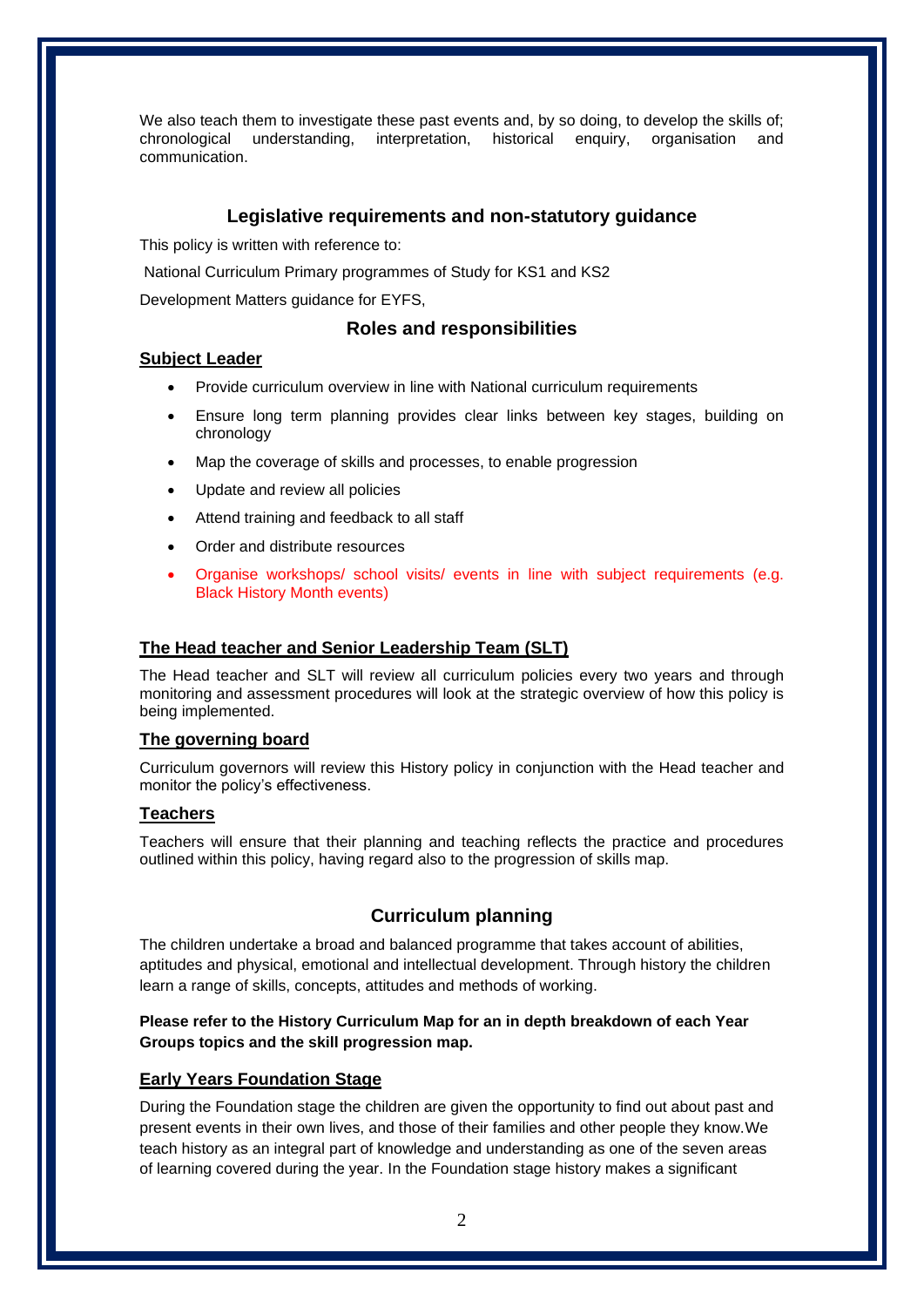We also teach them to investigate these past events and, by so doing, to develop the skills of; chronological understanding, interpretation, historical enquiry, organisation and communication.

#### **Legislative requirements and non-statutory guidance**

This policy is written with reference to:

National Curriculum Primary programmes of Study for KS1 and KS2

Development Matters guidance for EYFS,

#### **Roles and responsibilities**

#### **Subject Leader**

- Provide curriculum overview in line with National curriculum requirements
- Ensure long term planning provides clear links between key stages, building on chronology
- Map the coverage of skills and processes, to enable progression
- Update and review all policies
- Attend training and feedback to all staff
- Order and distribute resources
- Organise workshops/ school visits/ events in line with subject requirements (e.g. Black History Month events)

#### **The Head teacher and Senior Leadership Team (SLT)**

The Head teacher and SLT will review all curriculum policies every two years and through monitoring and assessment procedures will look at the strategic overview of how this policy is being implemented.

#### **The governing board**

Curriculum governors will review this History policy in conjunction with the Head teacher and monitor the policy's effectiveness.

#### **Teachers**

Teachers will ensure that their planning and teaching reflects the practice and procedures outlined within this policy, having regard also to the progression of skills map.

#### **Curriculum planning**

The children undertake a broad and balanced programme that takes account of abilities, aptitudes and physical, emotional and intellectual development. Through history the children learn a range of skills, concepts, attitudes and methods of working.

#### **Please refer to the History Curriculum Map for an in depth breakdown of each Year Groups topics and the skill progression map.**

#### **Early Years Foundation Stage**

During the Foundation stage the children are given the opportunity to find out about past and present events in their own lives, and those of their families and other people they know.We teach history as an integral part of knowledge and understanding as one of the seven areas of learning covered during the year. In the Foundation stage history makes a significant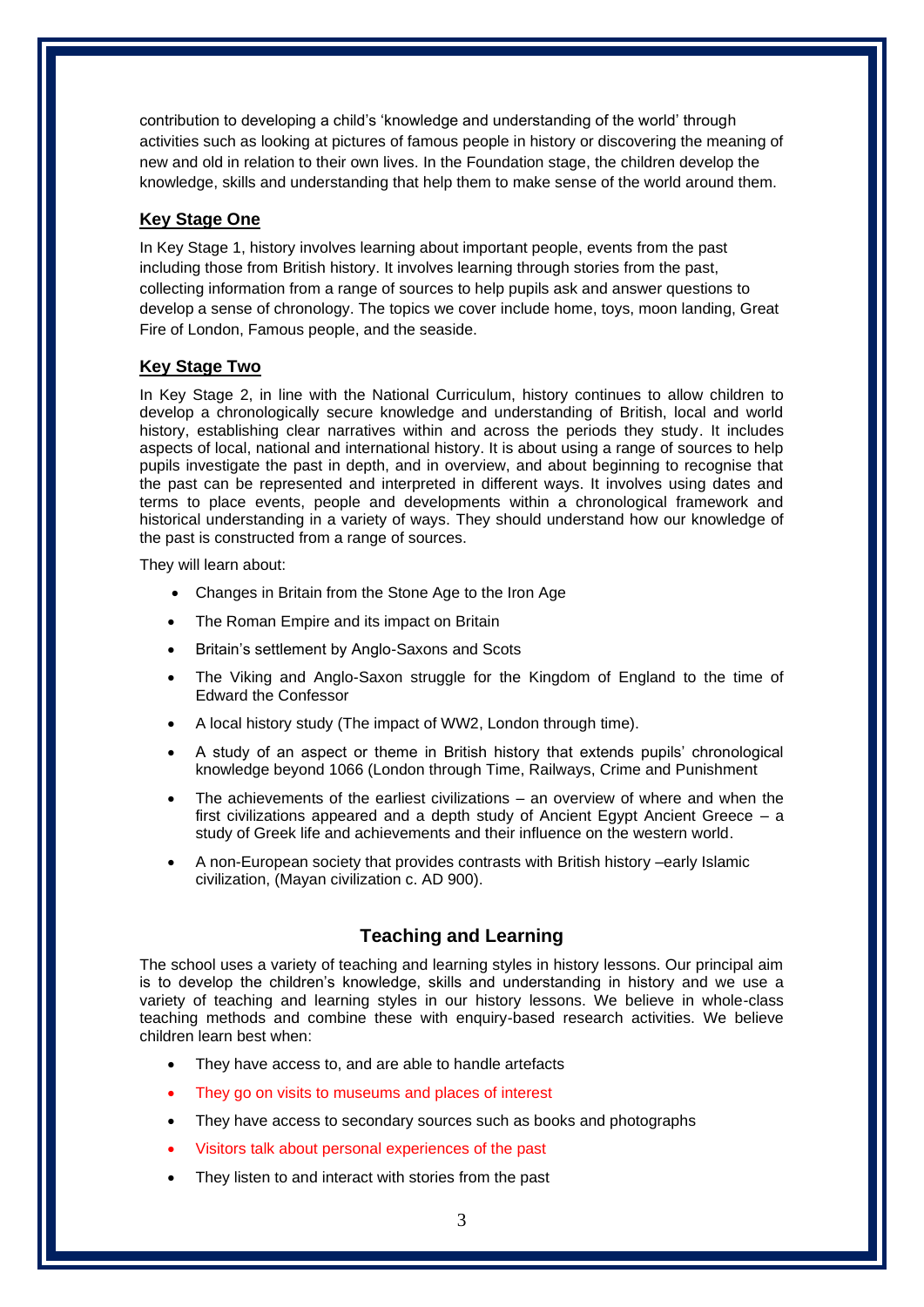contribution to developing a child's 'knowledge and understanding of the world' through activities such as looking at pictures of famous people in history or discovering the meaning of new and old in relation to their own lives. In the Foundation stage, the children develop the knowledge, skills and understanding that help them to make sense of the world around them.

#### **Key Stage One**

In Key Stage 1, history involves learning about important people, events from the past including those from British history. It involves learning through stories from the past, collecting information from a range of sources to help pupils ask and answer questions to develop a sense of chronology. The topics we cover include home, toys, moon landing, Great Fire of London, Famous people, and the seaside.

#### **Key Stage Two**

In Key Stage 2, in line with the National Curriculum, history continues to allow children to develop a chronologically secure knowledge and understanding of British, local and world history, establishing clear narratives within and across the periods they study. It includes aspects of local, national and international history. It is about using a range of sources to help pupils investigate the past in depth, and in overview, and about beginning to recognise that the past can be represented and interpreted in different ways. It involves using dates and terms to place events, people and developments within a chronological framework and historical understanding in a variety of ways. They should understand how our knowledge of the past is constructed from a range of sources.

They will learn about:

- Changes in Britain from the Stone Age to the Iron Age
- The Roman Empire and its impact on Britain
- Britain's settlement by Anglo-Saxons and Scots
- The Viking and Anglo-Saxon struggle for the Kingdom of England to the time of Edward the Confessor
- A local history study (The impact of WW2, London through time).
- A study of an aspect or theme in British history that extends pupils' chronological knowledge beyond 1066 (London through Time, Railways, Crime and Punishment
- The achievements of the earliest civilizations  $-$  an overview of where and when the first civilizations appeared and a depth study of Ancient Egypt Ancient Greece – a study of Greek life and achievements and their influence on the western world.
- A non-European society that provides contrasts with British history –early Islamic civilization, (Mayan civilization c. AD 900).

#### **Teaching and Learning**

The school uses a variety of teaching and learning styles in history lessons. Our principal aim is to develop the children's knowledge, skills and understanding in history and we use a variety of teaching and learning styles in our history lessons. We believe in whole-class teaching methods and combine these with enquiry-based research activities. We believe children learn best when:

- They have access to, and are able to handle artefacts
- They go on visits to museums and places of interest
- They have access to secondary sources such as books and photographs
- Visitors talk about personal experiences of the past
- They listen to and interact with stories from the past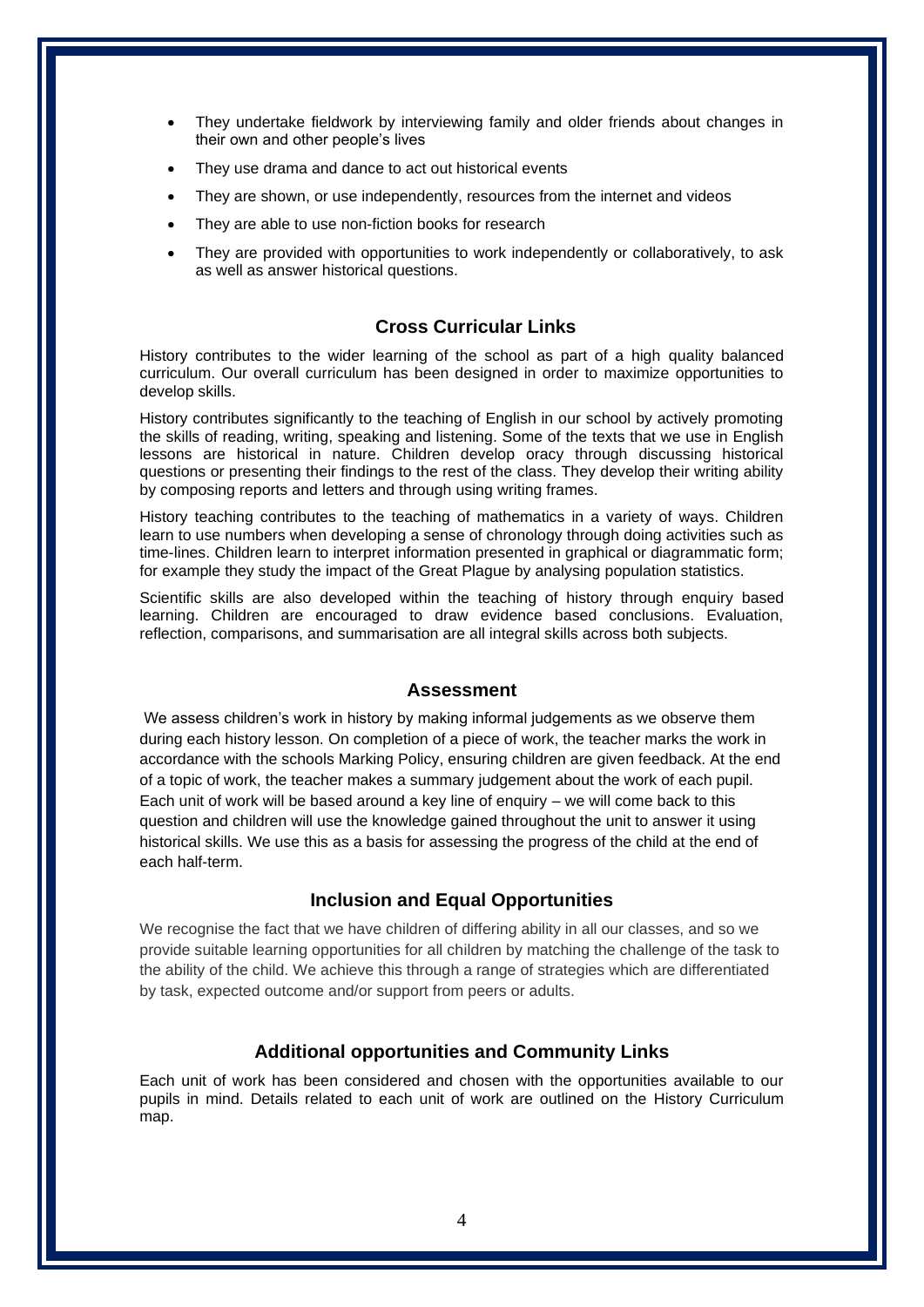- They undertake fieldwork by interviewing family and older friends about changes in their own and other people's lives
- They use drama and dance to act out historical events
- They are shown, or use independently, resources from the internet and videos
- They are able to use non-fiction books for research
- They are provided with opportunities to work independently or collaboratively, to ask as well as answer historical questions.

#### **Cross Curricular Links**

History contributes to the wider learning of the school as part of a high quality balanced curriculum. Our overall curriculum has been designed in order to maximize opportunities to develop skills.

History contributes significantly to the teaching of English in our school by actively promoting the skills of reading, writing, speaking and listening. Some of the texts that we use in English lessons are historical in nature. Children develop oracy through discussing historical questions or presenting their findings to the rest of the class. They develop their writing ability by composing reports and letters and through using writing frames.

History teaching contributes to the teaching of mathematics in a variety of ways. Children learn to use numbers when developing a sense of chronology through doing activities such as time-lines. Children learn to interpret information presented in graphical or diagrammatic form; for example they study the impact of the Great Plague by analysing population statistics.

Scientific skills are also developed within the teaching of history through enquiry based learning. Children are encouraged to draw evidence based conclusions. Evaluation, reflection, comparisons, and summarisation are all integral skills across both subjects.

#### **Assessment**

We assess children's work in history by making informal judgements as we observe them during each history lesson. On completion of a piece of work, the teacher marks the work in accordance with the schools Marking Policy, ensuring children are given feedback. At the end of a topic of work, the teacher makes a summary judgement about the work of each pupil. Each unit of work will be based around a key line of enquiry – we will come back to this question and children will use the knowledge gained throughout the unit to answer it using historical skills. We use this as a basis for assessing the progress of the child at the end of each half-term.

#### **Inclusion and Equal Opportunities**

We recognise the fact that we have children of differing ability in all our classes, and so we provide suitable learning opportunities for all children by matching the challenge of the task to the ability of the child. We achieve this through a range of strategies which are differentiated by task, expected outcome and/or support from peers or adults.

#### **Additional opportunities and Community Links**

Each unit of work has been considered and chosen with the opportunities available to our pupils in mind. Details related to each unit of work are outlined on the History Curriculum map.